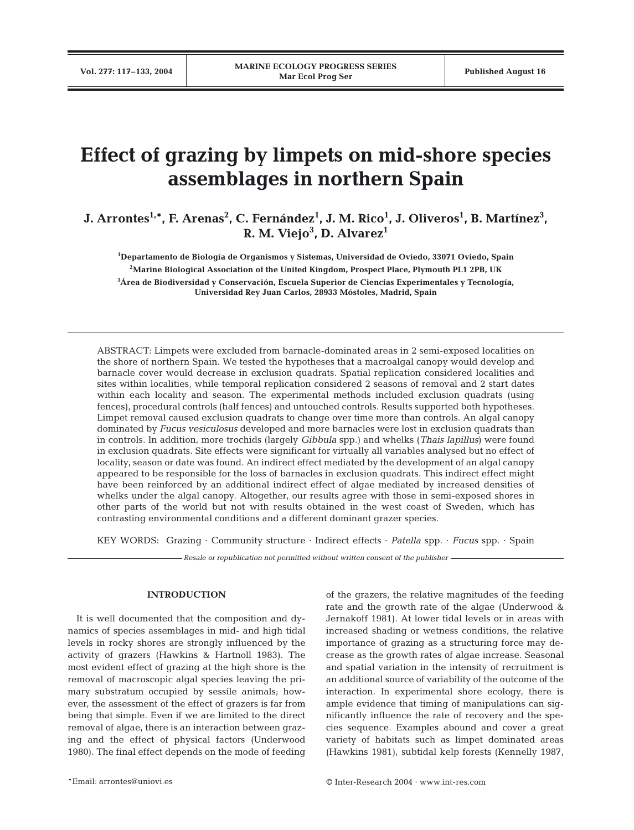# **Effect of grazing by limpets on mid-shore species assemblages in northern Spain**

**J.** Arrontes<sup>1,\*</sup>, F. Arenas<sup>2</sup>, C. Fernández<sup>1</sup>, J. M. Rico<sup>1</sup>, J. Oliveros<sup>1</sup>, B. Martínez<sup>3</sup>, **R. M. Viejo3 , D. Alvarez1**

**1 Departamento de Biología de Organismos y Sistemas, Universidad de Oviedo, 33071 Oviedo, Spain 2Marine Biological Association of the United Kingdom, Prospect Place, Plymouth PL1 2PB, UK**

**3 Área de Biodiversidad y Conservación, Escuela Superior de Ciencias Experimentales y Tecnología, Universidad Rey Juan Carlos, 28933 Móstoles, Madrid, Spain**

ABSTRACT: Limpets were excluded from barnacle-dominated areas in 2 semi-exposed localities on the shore of northern Spain. We tested the hypotheses that a macroalgal canopy would develop and barnacle cover would decrease in exclusion quadrats. Spatial replication considered localities and sites within localities, while temporal replication considered 2 seasons of removal and 2 start dates within each locality and season. The experimental methods included exclusion quadrats (using fences), procedural controls (half fences) and untouched controls. Results supported both hypotheses. Limpet removal caused exclusion quadrats to change over time more than controls. An algal canopy dominated by *Fucus vesiculosus* developed and more barnacles were lost in exclusion quadrats than in controls. In addition, more trochids (largely *Gibbula* spp.) and whelks (*Thais lapillus*) were found in exclusion quadrats. Site effects were significant for virtually all variables analysed but no effect of locality, season or date was found. An indirect effect mediated by the development of an algal canopy appeared to be responsible for the loss of barnacles in exclusion quadrats. This indirect effect might have been reinforced by an additional indirect effect of algae mediated by increased densities of whelks under the algal canopy. Altogether, our results agree with those in semi-exposed shores in other parts of the world but not with results obtained in the west coast of Sweden, which has contrasting environmental conditions and a different dominant grazer species.

KEY WORDS: Grazing · Community structure · Indirect effects · *Patella* spp. · *Fucus* spp. · Spain

*Resale or republication not permitted without written consent of the publisher*

### **INTRODUCTION**

It is well documented that the composition and dynamics of species assemblages in mid- and high tidal levels in rocky shores are strongly influenced by the activity of grazers (Hawkins & Hartnoll 1983). The most evident effect of grazing at the high shore is the removal of macroscopic algal species leaving the primary substratum occupied by sessile animals; however, the assessment of the effect of grazers is far from being that simple. Even if we are limited to the direct removal of algae, there is an interaction between grazing and the effect of physical factors (Underwood 1980). The final effect depends on the mode of feeding

of the grazers, the relative magnitudes of the feeding rate and the growth rate of the algae (Underwood & Jernakoff 1981). At lower tidal levels or in areas with increased shading or wetness conditions, the relative importance of grazing as a structuring force may decrease as the growth rates of algae increase. Seasonal and spatial variation in the intensity of recruitment is an additional source of variability of the outcome of the interaction. In experimental shore ecology, there is ample evidence that timing of manipulations can significantly influence the rate of recovery and the species sequence. Examples abound and cover a great variety of habitats such as limpet dominated areas (Hawkins 1981), subtidal kelp forests (Kennelly 1987,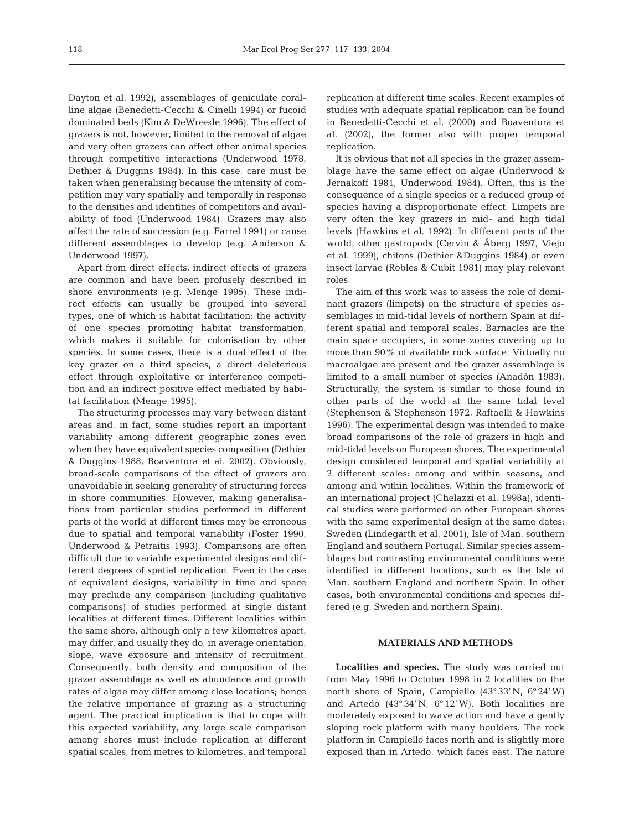Dayton et al. 1992), assemblages of geniculate coralline algae (Benedetti-Cecchi & Cinelli 1994) or fucoid dominated beds (Kim & DeWreede 1996). The effect of grazers is not, however, limited to the removal of algae and very often grazers can affect other animal species through competitive interactions (Underwood 1978, Dethier & Duggins 1984). In this case, care must be taken when generalising because the intensity of competition may vary spatially and temporally in response to the densities and identities of competitors and availability of food (Underwood 1984). Grazers may also affect the rate of succession (e.g. Farrel 1991) or cause different assemblages to develop (e.g. Anderson & Underwood 1997).

Apart from direct effects, indirect effects of grazers are common and have been profusely described in shore environments (e.g. Menge 1995). These indirect effects can usually be grouped into several types, one of which is habitat facilitation: the activity of one species promoting habitat transformation, which makes it suitable for colonisation by other species. In some cases, there is a dual effect of the key grazer on a third species, a direct deleterious effect through exploitative or interference competition and an indirect positive effect mediated by habitat facilitation (Menge 1995).

The structuring processes may vary between distant areas and, in fact, some studies report an important variability among different geographic zones even when they have equivalent species composition (Dethier & Duggins 1988, Boaventura et al. 2002). Obviously, broad-scale comparisons of the effect of grazers are unavoidable in seeking generality of structuring forces in shore communities. However, making generalisations from particular studies performed in different parts of the world at different times may be erroneous due to spatial and temporal variability (Foster 1990, Underwood & Petraitis 1993). Comparisons are often difficult due to variable experimental designs and different degrees of spatial replication. Even in the case of equivalent designs, variability in time and space may preclude any comparison (including qualitative comparisons) of studies performed at single distant localities at different times. Different localities within the same shore, although only a few kilometres apart, may differ, and usually they do, in average orientation, slope, wave exposure and intensity of recruitment. Consequently, both density and composition of the grazer assemblage as well as abundance and growth rates of algae may differ among close locations; hence the relative importance of grazing as a structuring agent. The practical implication is that to cope with this expected variability, any large scale comparison among shores must include replication at different spatial scales, from metres to kilometres, and temporal

replication at different time scales. Recent examples of studies with adequate spatial replication can be found in Benedetti-Cecchi et al. (2000) and Boaventura et al. (2002), the former also with proper temporal replication.

It is obvious that not all species in the grazer assemblage have the same effect on algae (Underwood & Jernakoff 1981, Underwood 1984). Often, this is the consequence of a single species or a reduced group of species having a disproportionate effect. Limpets are very often the key grazers in mid- and high tidal levels (Hawkins et al. 1992). In different parts of the world, other gastropods (Cervin & Åberg 1997, Viejo et al. 1999), chitons (Dethier &Duggins 1984) or even insect larvae (Robles & Cubit 1981) may play relevant roles.

The aim of this work was to assess the role of dominant grazers (limpets) on the structure of species assemblages in mid-tidal levels of northern Spain at different spatial and temporal scales. Barnacles are the main space occupiers, in some zones covering up to more than 90% of available rock surface. Virtually no macroalgae are present and the grazer assemblage is limited to a small number of species (Anadón 1983). Structurally, the system is similar to those found in other parts of the world at the same tidal level (Stephenson & Stephenson 1972, Raffaelli & Hawkins 1996). The experimental design was intended to make broad comparisons of the role of grazers in high and mid-tidal levels on European shores. The experimental design considered temporal and spatial variability at 2 different scales: among and within seasons, and among and within localities. Within the framework of an international project (Chelazzi et al. 1998a), identical studies were performed on other European shores with the same experimental design at the same dates: Sweden (Lindegarth et al. 2001), Isle of Man, southern England and southern Portugal. Similar species assemblages but contrasting environmental conditions were identified in different locations, such as the Isle of Man, southern England and northern Spain. In other cases, both environmental conditions and species differed (e.g. Sweden and northern Spain).

# **MATERIALS AND METHODS**

**Localities and species.** The study was carried out from May 1996 to October 1998 in 2 localities on the north shore of Spain, Campiello (43° 33' N, 6° 24'W) and Artedo (43° 34'N, 6° 12'W). Both localities are moderately exposed to wave action and have a gently sloping rock platform with many boulders. The rock platform in Campiello faces north and is slightly more exposed than in Artedo, which faces east. The nature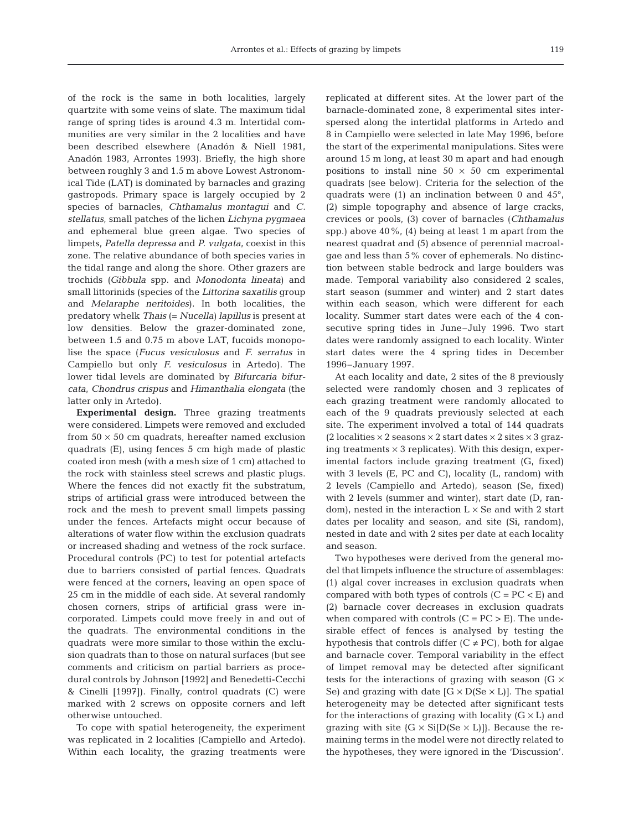of the rock is the same in both localities, largely quartzite with some veins of slate. The maximum tidal range of spring tides is around 4.3 m. Intertidal communities are very similar in the 2 localities and have been described elsewhere (Anadón & Niell 1981, Anadón 1983, Arrontes 1993). Briefly, the high shore between roughly 3 and 1.5 m above Lowest Astronomical Tide (LAT) is dominated by barnacles and grazing gastropods. Primary space is largely occupied by 2 species of barnacles, *Chthamalus montagui* and *C. stellatus*, small patches of the lichen *Lichyna pygmaea* and ephemeral blue green algae. Two species of limpets, *Patella depressa* and *P. vulgata*, coexist in this zone. The relative abundance of both species varies in the tidal range and along the shore. Other grazers are trochids (*Gibbula* spp. and *Monodonta lineata*) and small littorinids (species of the *Littorina saxatilis* group and *Melaraphe neritoides*). In both localities, the predatory whelk *Thais* (= *Nucella) lapillus* is present at low densities. Below the grazer-dominated zone, between 1.5 and 0.75 m above LAT, fucoids monopolise the space (*Fucus vesiculosus* and *F. serratus* in Campiello but only *F. vesiculosus* in Artedo). The lower tidal levels are dominated by *Bifurcaria bifurcata*, *Chondrus crispus* and *Himanthalia elongata* (the latter only in Artedo).

**Experimental design.** Three grazing treatments were considered. Limpets were removed and excluded from  $50 \times 50$  cm quadrats, hereafter named exclusion quadrats (E), using fences 5 cm high made of plastic coated iron mesh (with a mesh size of 1 cm) attached to the rock with stainless steel screws and plastic plugs. Where the fences did not exactly fit the substratum, strips of artificial grass were introduced between the rock and the mesh to prevent small limpets passing under the fences. Artefacts might occur because of alterations of water flow within the exclusion quadrats or increased shading and wetness of the rock surface. Procedural controls (PC) to test for potential artefacts due to barriers consisted of partial fences. Quadrats were fenced at the corners, leaving an open space of 25 cm in the middle of each side. At several randomly chosen corners, strips of artificial grass were incorporated. Limpets could move freely in and out of the quadrats. The environmental conditions in the quadrats were more similar to those within the exclusion quadrats than to those on natural surfaces (but see comments and criticism on partial barriers as procedural controls by Johnson [1992] and Benedetti-Cecchi & Cinelli [1997]). Finally, control quadrats (C) were marked with 2 screws on opposite corners and left otherwise untouched.

To cope with spatial heterogeneity, the experiment was replicated in 2 localities (Campiello and Artedo). Within each locality, the grazing treatments were

replicated at different sites. At the lower part of the barnacle-dominated zone, 8 experimental sites interspersed along the intertidal platforms in Artedo and 8 in Campiello were selected in late May 1996, before the start of the experimental manipulations. Sites were around 15 m long, at least 30 m apart and had enough positions to install nine  $50 \times 50$  cm experimental quadrats (see below). Criteria for the selection of the quadrats were (1) an inclination between 0 and 45°, (2) simple topography and absence of large cracks, crevices or pools, (3) cover of barnacles (*Chthamalus* spp.) above 40%, (4) being at least 1 m apart from the nearest quadrat and (5) absence of perennial macroalgae and less than 5% cover of ephemerals. No distinction between stable bedrock and large boulders was made. Temporal variability also considered 2 scales, start season (summer and winter) and 2 start dates within each season, which were different for each locality. Summer start dates were each of the 4 consecutive spring tides in June–July 1996. Two start dates were randomly assigned to each locality. Winter start dates were the 4 spring tides in December 1996–January 1997.

At each locality and date, 2 sites of the 8 previously selected were randomly chosen and 3 replicates of each grazing treatment were randomly allocated to each of the 9 quadrats previously selected at each site. The experiment involved a total of 144 quadrats (2 localities  $\times$  2 seasons  $\times$  2 start dates  $\times$  2 sites  $\times$  3 grazing treatments  $\times$  3 replicates). With this design, experimental factors include grazing treatment (G, fixed) with 3 levels (E, PC and C), locality (L, random) with 2 levels (Campiello and Artedo), season (Se, fixed) with 2 levels (summer and winter), start date (D, random), nested in the interaction  $L \times$  Se and with 2 start dates per locality and season, and site (Si, random), nested in date and with 2 sites per date at each locality and season.

Two hypotheses were derived from the general model that limpets influence the structure of assemblages: (1) algal cover increases in exclusion quadrats when compared with both types of controls  $(C = PC < E)$  and (2) barnacle cover decreases in exclusion quadrats when compared with controls  $(C = PC > E)$ . The undesirable effect of fences is analysed by testing the hypothesis that controls differ  $(C \neq PC)$ , both for algae and barnacle cover. Temporal variability in the effect of limpet removal may be detected after significant tests for the interactions of grazing with season (G  $\times$ Se) and grazing with date  $[G \times D(Se \times L)]$ . The spatial heterogeneity may be detected after significant tests for the interactions of grazing with locality  $(G \times L)$  and grazing with site  $(G \times Si[D(Se \times L)])$ . Because the remaining terms in the model were not directly related to the hypotheses, they were ignored in the 'Discussion'.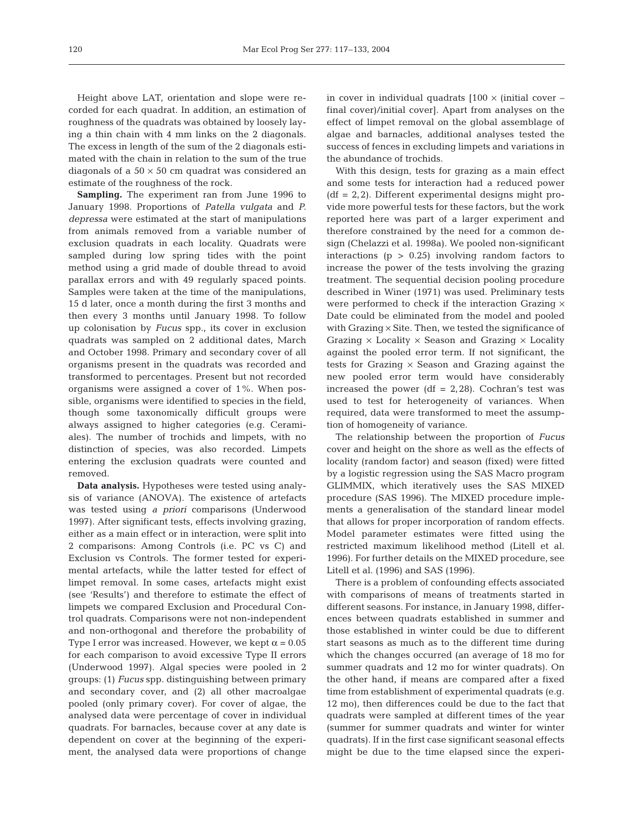Height above LAT, orientation and slope were recorded for each quadrat. In addition, an estimation of roughness of the quadrats was obtained by loosely laying a thin chain with 4 mm links on the 2 diagonals. The excess in length of the sum of the 2 diagonals estimated with the chain in relation to the sum of the true diagonals of a  $50 \times 50$  cm quadrat was considered an estimate of the roughness of the rock.

**Sampling.** The experiment ran from June 1996 to January 1998. Proportions of *Patella vulgata* and *P. depressa* were estimated at the start of manipulations from animals removed from a variable number of exclusion quadrats in each locality. Quadrats were sampled during low spring tides with the point method using a grid made of double thread to avoid parallax errors and with 49 regularly spaced points. Samples were taken at the time of the manipulations, 15 d later, once a month during the first 3 months and then every 3 months until January 1998. To follow up colonisation by *Fucus* spp., its cover in exclusion quadrats was sampled on 2 additional dates, March and October 1998. Primary and secondary cover of all organisms present in the quadrats was recorded and transformed to percentages. Present but not recorded organisms were assigned a cover of 1%. When possible, organisms were identified to species in the field, though some taxonomically difficult groups were always assigned to higher categories (e.g. Ceramiales). The number of trochids and limpets, with no distinction of species, was also recorded. Limpets entering the exclusion quadrats were counted and removed.

**Data analysis.** Hypotheses were tested using analysis of variance (ANOVA). The existence of artefacts was tested using *a priori* comparisons (Underwood 1997). After significant tests, effects involving grazing, either as a main effect or in interaction, were split into 2 comparisons: Among Controls (i.e. PC vs C) and Exclusion vs Controls. The former tested for experimental artefacts, while the latter tested for effect of limpet removal. In some cases, artefacts might exist (see 'Results') and therefore to estimate the effect of limpets we compared Exclusion and Procedural Control quadrats. Comparisons were not non-independent and non-orthogonal and therefore the probability of Type I error was increased. However, we kept  $\alpha = 0.05$ for each comparison to avoid excessive Type II errors (Underwood 1997). Algal species were pooled in 2 groups: (1) *Fucus* spp. distinguishing between primary and secondary cover, and (2) all other macroalgae pooled (only primary cover). For cover of algae, the analysed data were percentage of cover in individual quadrats. For barnacles, because cover at any date is dependent on cover at the beginning of the experiment, the analysed data were proportions of change

in cover in individual quadrats  $[100 \times (initial cover$ final cover)/initial cover]. Apart from analyses on the effect of limpet removal on the global assemblage of algae and barnacles, additional analyses tested the success of fences in excluding limpets and variations in the abundance of trochids.

With this design, tests for grazing as a main effect and some tests for interaction had a reduced power  $(df = 2, 2)$ . Different experimental designs might provide more powerful tests for these factors, but the work reported here was part of a larger experiment and therefore constrained by the need for a common design (Chelazzi et al. 1998a). We pooled non-significant interactions ( $p > 0.25$ ) involving random factors to increase the power of the tests involving the grazing treatment. The sequential decision pooling procedure described in Winer (1971) was used. Preliminary tests were performed to check if the interaction Grazing  $\times$ Date could be eliminated from the model and pooled with Grazing  $\times$  Site. Then, we tested the significance of Grazing  $\times$  Locality  $\times$  Season and Grazing  $\times$  Locality against the pooled error term. If not significant, the tests for Grazing  $\times$  Season and Grazing against the new pooled error term would have considerably increased the power  $(df = 2,28)$ . Cochran's test was used to test for heterogeneity of variances. When required, data were transformed to meet the assumption of homogeneity of variance.

The relationship between the proportion of *Fucus* cover and height on the shore as well as the effects of locality (random factor) and season (fixed) were fitted by a logistic regression using the SAS Macro program GLIMMIX, which iteratively uses the SAS MIXED procedure (SAS 1996). The MIXED procedure implements a generalisation of the standard linear model that allows for proper incorporation of random effects. Model parameter estimates were fitted using the restricted maximum likelihood method (Litell et al. 1996). For further details on the MIXED procedure, see Litell et al. (1996) and SAS (1996).

There is a problem of confounding effects associated with comparisons of means of treatments started in different seasons. For instance, in January 1998, differences between quadrats established in summer and those established in winter could be due to different start seasons as much as to the different time during which the changes occurred (an average of 18 mo for summer quadrats and 12 mo for winter quadrats). On the other hand, if means are compared after a fixed time from establishment of experimental quadrats (e.g. 12 mo), then differences could be due to the fact that quadrats were sampled at different times of the year (summer for summer quadrats and winter for winter quadrats). If in the first case significant seasonal effects might be due to the time elapsed since the experi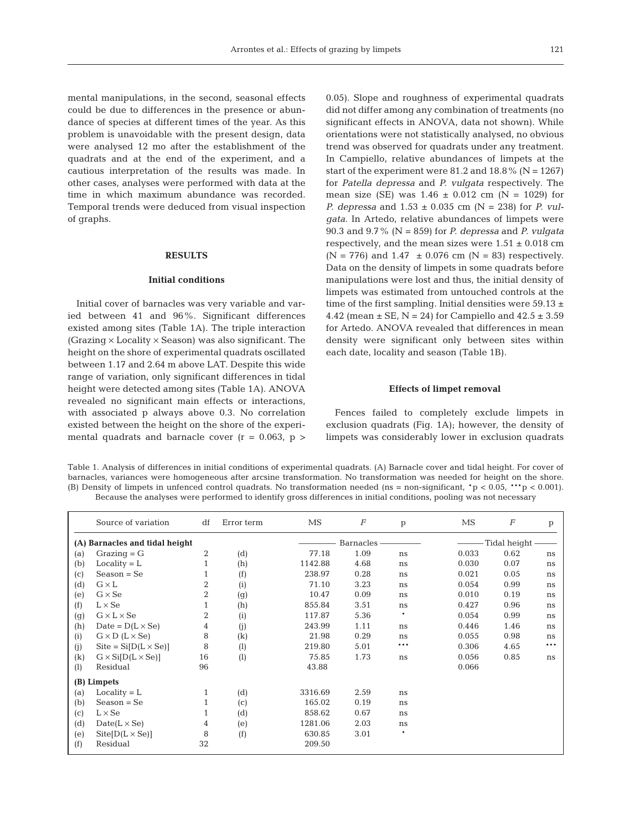mental manipulations, in the second, seasonal effects could be due to differences in the presence or abundance of species at different times of the year. As this problem is unavoidable with the present design, data were analysed 12 mo after the establishment of the quadrats and at the end of the experiment, and a cautious interpretation of the results was made. In other cases, analyses were performed with data at the time in which maximum abundance was recorded. Temporal trends were deduced from visual inspection of graphs.

## **RESULTS**

#### **Initial conditions**

Initial cover of barnacles was very variable and varied between 41 and 96%. Significant differences existed among sites (Table 1A). The triple interaction (Grazing  $\times$  Locality  $\times$  Season) was also significant. The height on the shore of experimental quadrats oscillated between 1.17 and 2.64 m above LAT. Despite this wide range of variation, only significant differences in tidal height were detected among sites (Table 1A). ANOVA revealed no significant main effects or interactions, with associated p always above 0.3. No correlation existed between the height on the shore of the experimental quadrats and barnacle cover  $(r = 0.063, p >$ 

0.05). Slope and roughness of experimental quadrats did not differ among any combination of treatments (no significant effects in ANOVA, data not shown). While orientations were not statistically analysed, no obvious trend was observed for quadrats under any treatment. In Campiello, relative abundances of limpets at the start of the experiment were 81.2 and  $18.8\%$  (N = 1267) for *Patella depressa* and *P. vulgata* respectively. The mean size (SE) was  $1.46 \pm 0.012$  cm (N = 1029) for *P. depressa* and 1.53 ± 0.035 cm (N = 238) for *P. vulgata*. In Artedo, relative abundances of limpets were 90.3 and 9.7% (N = 859) for *P. depressa* and *P. vulgata* respectively, and the mean sizes were  $1.51 \pm 0.018$  cm  $(N = 776)$  and  $1.47 \pm 0.076$  cm  $(N = 83)$  respectively. Data on the density of limpets in some quadrats before manipulations were lost and thus, the initial density of limpets was estimated from untouched controls at the time of the first sampling. Initial densities were  $59.13 \pm$ 4.42 (mean  $\pm$  SE, N = 24) for Campiello and  $42.5 \pm 3.59$ for Artedo. ANOVA revealed that differences in mean density were significant only between sites within each date, locality and season (Table 1B).

#### **Effects of limpet removal**

Fences failed to completely exclude limpets in exclusion quadrats (Fig. 1A); however, the density of limpets was considerably lower in exclusion quadrats

Table 1. Analysis of differences in initial conditions of experimental quadrats. (A) Barnacle cover and tidal height. For cover of barnacles, variances were homogeneous after arcsine transformation. No transformation was needed for height on the shore. (B) Density of limpets in unfenced control quadrats. No transformation needed (ns = non-significant,  $\mathbf{r} > 0.05$ ,  $\mathbf{r} \cdot \mathbf{p} < 0.001$ ). Because the analyses were performed to identify gross differences in initial conditions, pooling was not necessary

|     | Source of variation            | df           | Error term       | MS      | $\boldsymbol{F}$ | $\mathbf{p}$ | MS           | $\,F$ | p   |  |  |
|-----|--------------------------------|--------------|------------------|---------|------------------|--------------|--------------|-------|-----|--|--|
|     | (A) Barnacles and tidal height |              |                  |         | Barnacles        |              | Tidal height |       |     |  |  |
| (a) | $Grazing = G$                  | 2            | (d)              | 77.18   | 1.09             | ns           | 0.033        | 0.62  | ns  |  |  |
| (b) | $Locality = L$                 | $\mathbf{1}$ | (h)              | 1142.88 | 4.68             | ns           | 0.030        | 0.07  | ns  |  |  |
| (c) | $Season = Se$                  |              | (f)              | 238.97  | 0.28             | ns           | 0.021        | 0.05  | ns  |  |  |
| (d) | $G \times L$                   | 2            | (i)              | 71.10   | 3.23             | ns           | 0.054        | 0.99  | ns  |  |  |
| (e) | $G \times Se$                  | 2            | (g)              | 10.47   | 0.09             | ns           | 0.010        | 0.19  | ns  |  |  |
| (f) | $L \times Se$                  | $\mathbf{1}$ | (h)              | 855.84  | 3.51             | ns           | 0.427        | 0.96  | ns  |  |  |
| (g) | $G \times L \times Se$         | 2            | (i)              | 117.87  | 5.36             | $\ast$       | 0.054        | 0.99  | ns  |  |  |
| (h) | Date = $D(L \times Se)$        | 4            | (i)              | 243.99  | 1.11             | ns           | 0.446        | 1.46  | ns  |  |  |
| (i) | $G \times D$ ( $L \times Se$ ) | 8            | (k)              | 21.98   | 0.29             | ns           | 0.055        | 0.98  | ns  |  |  |
| (i) | $Site = Si[D(L \times Se)]$    | 8            | (1)              | 219.80  | 5.01             | ***          | 0.306        | 4.65  | *** |  |  |
| (k) | $G \times Si[D(L \times Se)]$  | 16           | $\left(1\right)$ | 75.85   | 1.73             | ns           | 0.056        | 0.85  | ns  |  |  |
| (1) | Residual                       | 96           |                  | 43.88   |                  |              | 0.066        |       |     |  |  |
|     | (B) Limpets                    |              |                  |         |                  |              |              |       |     |  |  |
| (a) | $Locality = L$                 | 1            | (d)              | 3316.69 | 2.59             | ns           |              |       |     |  |  |
| (b) | $Season = Se$                  |              | (c)              | 165.02  | 0.19             | ns           |              |       |     |  |  |
| (c) | $L \times Se$                  | 1            | (d)              | 858.62  | 0.67             | ns           |              |       |     |  |  |
| (d) | $Date(L \times Se)$            | 4            | (e)              | 1281.06 | 2.03             | ns           |              |       |     |  |  |
| (e) | $Stte[D(L \times Se)]$         | 8            | (f)              | 630.85  | 3.01             | $\ast$       |              |       |     |  |  |
| (f) | Residual                       | 32           |                  | 209.50  |                  |              |              |       |     |  |  |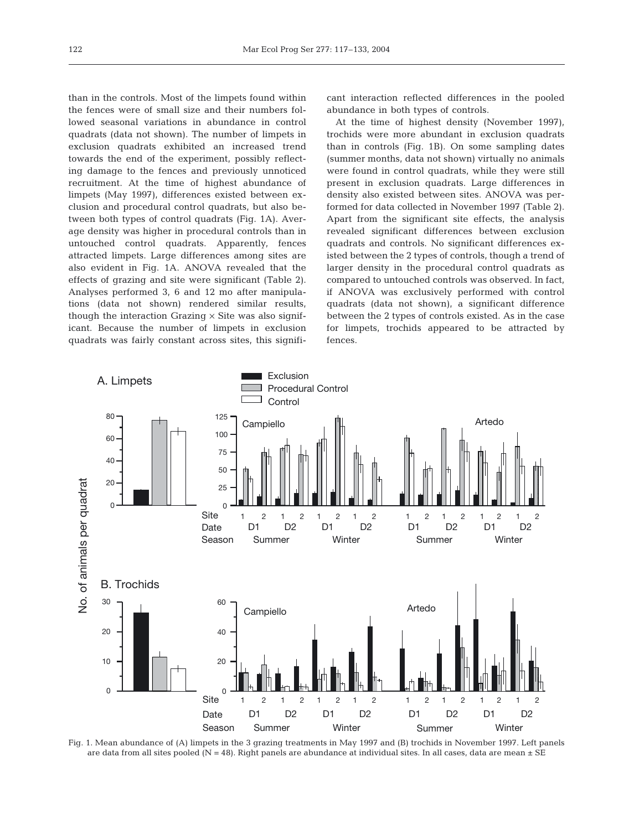than in the controls. Most of the limpets found within the fences were of small size and their numbers followed seasonal variations in abundance in control quadrats (data not shown). The number of limpets in exclusion quadrats exhibited an increased trend towards the end of the experiment, possibly reflecting damage to the fences and previously unnoticed recruitment. At the time of highest abundance of limpets (May 1997), differences existed between exclusion and procedural control quadrats, but also between both types of control quadrats (Fig. 1A). Average density was higher in procedural controls than in untouched control quadrats. Apparently, fences attracted limpets. Large differences among sites are also evident in Fig. 1A. ANOVA revealed that the effects of grazing and site were significant (Table 2). Analyses performed 3, 6 and 12 mo after manipulations (data not shown) rendered similar results, though the interaction Grazing  $\times$  Site was also significant. Because the number of limpets in exclusion quadrats was fairly constant across sites, this signifi-

cant interaction reflected differences in the pooled abundance in both types of controls.

At the time of highest density (November 1997), trochids were more abundant in exclusion quadrats than in controls (Fig. 1B). On some sampling dates (summer months, data not shown) virtually no animals were found in control quadrats, while they were still present in exclusion quadrats. Large differences in density also existed between sites. ANOVA was performed for data collected in November 1997 (Table 2). Apart from the significant site effects, the analysis revealed significant differences between exclusion quadrats and controls. No significant differences existed between the 2 types of controls, though a trend of larger density in the procedural control quadrats as compared to untouched controls was observed. In fact, if ANOVA was exclusively performed with control quadrats (data not shown), a significant difference between the 2 types of controls existed. As in the case for limpets, trochids appeared to be attracted by fences.



Fig. 1. Mean abundance of (A) limpets in the 3 grazing treatments in May 1997 and (B) trochids in November 1997. Left panels are data from all sites pooled (N = 48). Right panels are abundance at individual sites. In all cases, data are mean  $\pm$  SE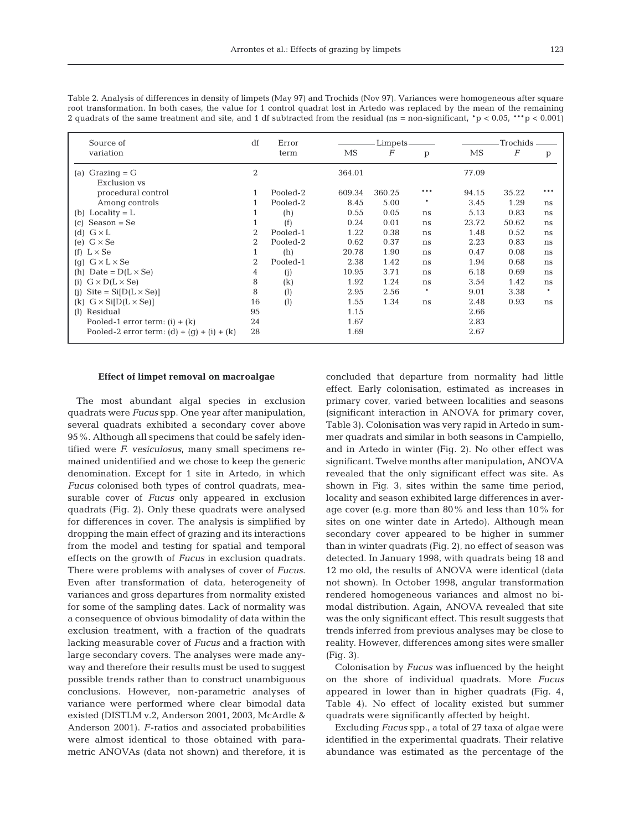| Source of                                    | df             | Error    |        | Limpets          |     |       | Trochids         |              |
|----------------------------------------------|----------------|----------|--------|------------------|-----|-------|------------------|--------------|
| variation                                    |                | term     | MS     | $\boldsymbol{F}$ | p   | MS    | $\boldsymbol{F}$ | $\mathbf{p}$ |
| $Grazing = G$<br>(a)<br><b>Exclusion vs</b>  | $\overline{2}$ |          | 364.01 |                  |     | 77.09 |                  |              |
| procedural control                           | 1              | Pooled-2 | 609.34 | 360.25           | *** | 94.15 | 35.22            | ***          |
| Among controls                               |                | Pooled-2 | 8.45   | 5.00             | *   | 3.45  | 1.29             | ns           |
| $Locality = L$<br>(b)                        | 1              | (h)      | 0.55   | 0.05             | ns  | 5.13  | 0.83             | ns           |
| $Season = Se$<br>$\left( \mathrm{c}\right)$  | $\mathbf{1}$   | (f)      | 0.24   | 0.01             | ns  | 23.72 | 50.62            | ns           |
| $G \times L$<br>(d)                          | $\overline{2}$ | Pooled-1 | 1.22   | 0.38             | ns  | 1.48  | 0.52             | ns           |
| (e) $G \times Se$                            | $\overline{2}$ | Pooled-2 | 0.62   | 0.37             | ns  | 2.23  | 0.83             | ns           |
| (f) $L \times Se$                            | 1              | (h)      | 20.78  | 1.90             | ns  | 0.47  | 0.08             | ns           |
| (g) $G \times L \times Se$                   | $\overline{2}$ | Pooled-1 | 2.38   | 1.42             | ns  | 1.94  | 0.68             | ns           |
| Date = $D(L \times Se)$<br>(h)               | 4              | (i)      | 10.95  | 3.71             | ns  | 6.18  | 0.69             | ns           |
| $G \times D(L \times Se)$<br>(i)             | 8              | (k)      | 1.92   | 1.24             | ns  | 3.54  | 1.42             | ns           |
| (i) Site = $Si[D(L \times Se)]$              | 8              | (1)      | 2.95   | 2.56             | *   | 9.01  | 3.38             | $\ast$       |
| $G \times Si[D(L \times Se)]$<br>(k)         | 16             | (1)      | 1.55   | 1.34             | ns  | 2.48  | 0.93             | ns           |
| Residual<br>(1)                              | 95             |          | 1.15   |                  |     | 2.66  |                  |              |
| Pooled-1 error term: $(i) + (k)$             | 24             |          | 1.67   |                  |     | 2.83  |                  |              |
| Pooled-2 error term: $(d) + (q) + (i) + (k)$ | 28             |          | 1.69   |                  |     | 2.67  |                  |              |

Table 2. Analysis of differences in density of limpets (May 97) and Trochids (Nov 97). Variances were homogeneous after square root transformation. In both cases, the value for 1 control quadrat lost in Artedo was replaced by the mean of the remaining 2 quadrats of the same treatment and site, and 1 df subtracted from the residual (ns = non-significant,  $\gamma$  < 0.05, \*\*\*p < 0.001)

#### **Effect of limpet removal on macroalgae**

The most abundant algal species in exclusion quadrats were *Fucus* spp. One year after manipulation, several quadrats exhibited a secondary cover above 95%. Although all specimens that could be safely identified were *F. vesiculosus*, many small specimens remained unidentified and we chose to keep the generic denomination. Except for 1 site in Artedo, in which *Fucus* colonised both types of control quadrats, measurable cover of *Fucus* only appeared in exclusion quadrats (Fig. 2). Only these quadrats were analysed for differences in cover. The analysis is simplified by dropping the main effect of grazing and its interactions from the model and testing for spatial and temporal effects on the growth of *Fucus* in exclusion quadrats. There were problems with analyses of cover of *Fucus*. Even after transformation of data, heterogeneity of variances and gross departures from normality existed for some of the sampling dates. Lack of normality was a consequence of obvious bimodality of data within the exclusion treatment, with a fraction of the quadrats lacking measurable cover of *Fucus* and a fraction with large secondary covers. The analyses were made anyway and therefore their results must be used to suggest possible trends rather than to construct unambiguous conclusions. However, non-parametric analyses of variance were performed where clear bimodal data existed (DISTLM v.2, Anderson 2001, 2003, McArdle & Anderson 2001). *F*-ratios and associated probabilities were almost identical to those obtained with parametric ANOVAs (data not shown) and therefore, it is

concluded that departure from normality had little effect. Early colonisation, estimated as increases in primary cover, varied between localities and seasons (significant interaction in ANOVA for primary cover, Table 3). Colonisation was very rapid in Artedo in summer quadrats and similar in both seasons in Campiello, and in Artedo in winter (Fig. 2). No other effect was significant. Twelve months after manipulation, ANOVA revealed that the only significant effect was site. As shown in Fig. 3, sites within the same time period, locality and season exhibited large differences in average cover (e.g. more than 80% and less than 10% for sites on one winter date in Artedo). Although mean secondary cover appeared to be higher in summer than in winter quadrats (Fig. 2), no effect of season was detected. In January 1998, with quadrats being 18 and 12 mo old, the results of ANOVA were identical (data not shown). In October 1998, angular transformation rendered homogeneous variances and almost no bimodal distribution. Again, ANOVA revealed that site was the only significant effect. This result suggests that trends inferred from previous analyses may be close to reality. However, differences among sites were smaller (Fig. 3).

Colonisation by *Fucus* was influenced by the height on the shore of individual quadrats. More *Fucus* appeared in lower than in higher quadrats (Fig. 4, Table 4). No effect of locality existed but summer quadrats were significantly affected by height.

Excluding *Fucus* spp., a total of 27 taxa of algae were identified in the experimental quadrats. Their relative abundance was estimated as the percentage of the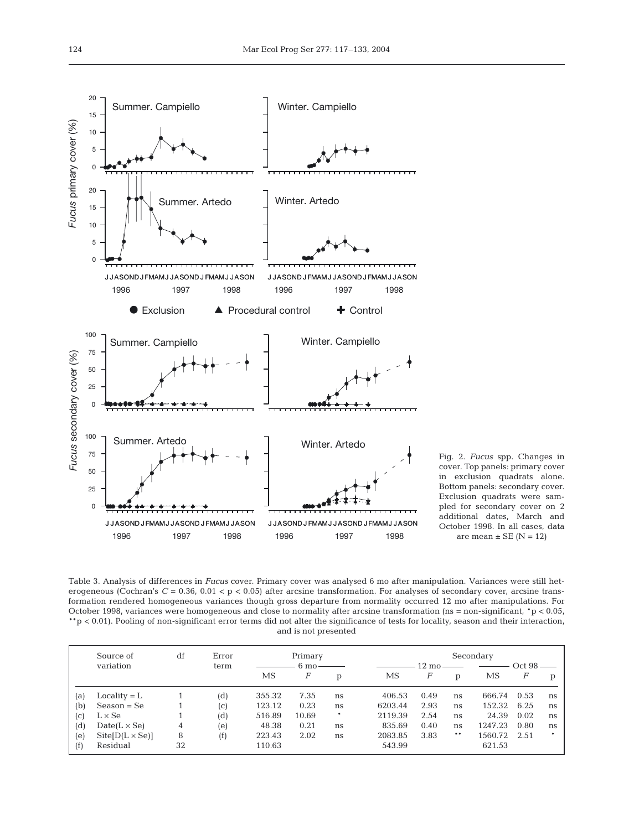

Fig. 2. *Fucus* spp. Changes in cover. Top panels: primary cover in exclusion quadrats alone. Bottom panels: secondary cover. Exclusion quadrats were sampled for secondary cover on 2 additional dates, March and October 1998. In all cases, data are mean  $\pm$  SE (N = 12)

Table 3. Analysis of differences in *Fucus* cover. Primary cover was analysed 6 mo after manipulation. Variances were still heterogeneous (Cochran's  $C = 0.36$ ,  $0.01 < p < 0.05$ ) after arcsine transformation. For analyses of secondary cover, arcsine transformation rendered homogeneous variances though gross departure from normality occurred 12 mo after manipulations. For October 1998, variances were homogeneous and close to normality after arcsine transformation (ns = non-significant,  $\mathbf{r}$  > 0.05, \*\*p < 0.01). Pooling of non-significant error terms did not alter the significance of tests for locality, season and their interaction, and is not presented

|     | Source of             | df | Error | Primary |                |        |         | Secondary         |    |         |        |    |  |
|-----|-----------------------|----|-------|---------|----------------|--------|---------|-------------------|----|---------|--------|----|--|
|     | variation             |    | term  |         | $6 \text{ mo}$ |        |         | $12 \text{ mo} -$ |    |         | Oct 98 |    |  |
|     |                       |    |       | MS      | F              | p      | MS      | F                 | D  | MS      | F      | D  |  |
| (a) | $Locality = L$        |    | (d)   | 355.32  | 7.35           | ns     | 406.53  | 0.49              | ns | 666.74  | 0.53   | ns |  |
| (b) | $Season = Se$         |    | (C)   | 123.12  | 0.23           | ns     | 6203.44 | 2.93              | ns | 152.32  | 6.25   | ns |  |
| (c) | $L \times Se$         |    | (d)   | 516.89  | 10.69          | $\ast$ | 2119.39 | 2.54              | ns | 24.39   | 0.02   | ns |  |
| (d) | $Date(L \times Se)$   | 4  | (e)   | 48.38   | 0.21           | ns     | 835.69  | 0.40              | ns | 1247.23 | 0.80   | ns |  |
| (e) | $Ste[D(L \times Se)]$ | 8  | (f)   | 223.43  | 2.02           | ns     | 2083.85 | 3.83              | ** | 1560.72 | 2.51   | *  |  |
| (f) | Residual              | 32 |       | 110.63  |                |        | 543.99  |                   |    | 621.53  |        |    |  |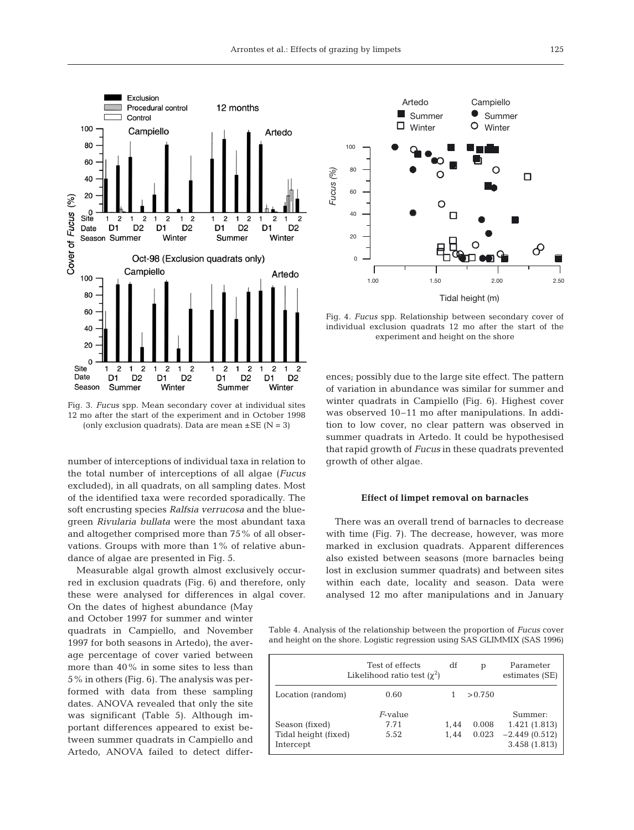

Fig. 3. *Fucus* spp. Mean secondary cover at individual sites 12 mo after the start of the experiment and in October 1998 (only exclusion quadrats). Data are mean  $\pm$  SE (N = 3)

number of interceptions of individual taxa in relation to the total number of interceptions of all algae (*Fucus* excluded), in all quadrats, on all sampling dates. Most of the identified taxa were recorded sporadically. The soft encrusting species *Ralfsia verrucosa* and the bluegreen *Rivularia bullata* were the most abundant taxa and altogether comprised more than 75% of all observations. Groups with more than 1% of relative abundance of algae are presented in Fig. 5.

Measurable algal growth almost exclusively occurred in exclusion quadrats (Fig. 6) and therefore, only these were analysed for differences in algal cover.

On the dates of highest abundance (May and October 1997 for summer and winter quadrats in Campiello, and November 1997 for both seasons in Artedo), the average percentage of cover varied between more than 40% in some sites to less than 5% in others (Fig. 6). The analysis was performed with data from these sampling dates. ANOVA revealed that only the site was significant (Table 5). Although important differences appeared to exist between summer quadrats in Campiello and Artedo, ANOVA failed to detect differ-



Fig. 4. *Fucus* spp. Relationship between secondary cover of individual exclusion quadrats 12 mo after the start of the experiment and height on the shore

ences; possibly due to the large site effect. The pattern of variation in abundance was similar for summer and winter quadrats in Campiello (Fig. 6). Highest cover was observed 10–11 mo after manipulations. In addition to low cover, no clear pattern was observed in summer quadrats in Artedo. It could be hypothesised that rapid growth of *Fucus* in these quadrats prevented growth of other algae.

#### **Effect of limpet removal on barnacles**

There was an overall trend of barnacles to decrease with time (Fig. 7). The decrease, however, was more marked in exclusion quadrats. Apparent differences also existed between seasons (more barnacles being lost in exclusion summer quadrats) and between sites within each date, locality and season. Data were analysed 12 mo after manipulations and in January

Table 4. Analysis of the relationship between the proportion of *Fucus* cover and height on the shore. Logistic regression using SAS GLIMMIX (SAS 1996)

|                                                     | Test of effects<br>Likelihood ratio test $(\chi^2)$ | df           | p              | Parameter<br>estimates (SE)                                 |
|-----------------------------------------------------|-----------------------------------------------------|--------------|----------------|-------------------------------------------------------------|
| Location (random)                                   | 0.60                                                |              | > 0.750        |                                                             |
| Season (fixed)<br>Tidal height (fixed)<br>Intercept | $F$ -value<br>7.71<br>5.52                          | 1,44<br>1.44 | 0.008<br>0.023 | Summer:<br>1.421(1.813)<br>$-2.449(0.512)$<br>3.458 (1.813) |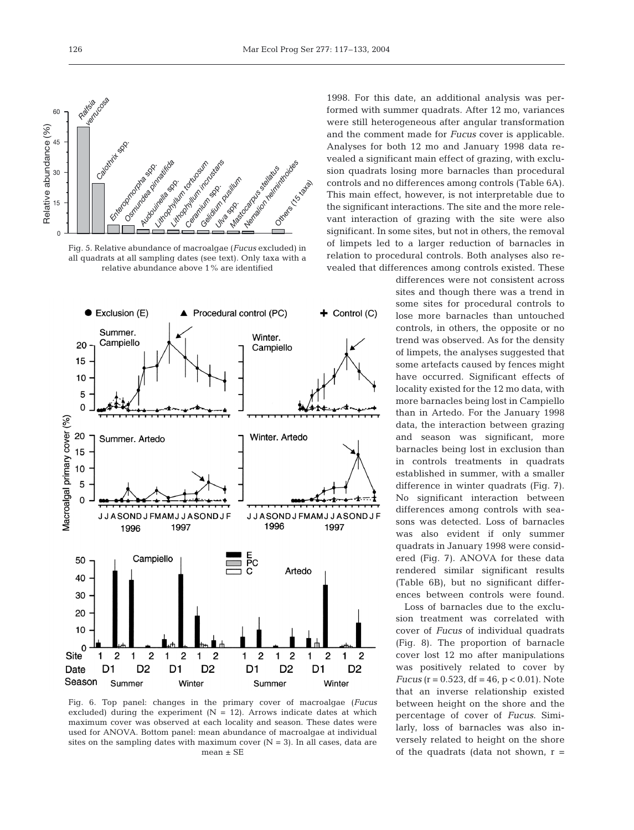

Fig. 5. Relative abundance of macroalgae (*Fucus* excluded) in all quadrats at all sampling dates (see text). Only taxa with a relative abundance above 1% are identified



Fig. 6. Top panel: changes in the primary cover of macroalgae (*Fucus* excluded) during the experiment  $(N = 12)$ . Arrows indicate dates at which maximum cover was observed at each locality and season. These dates were used for ANOVA. Bottom panel: mean abundance of macroalgae at individual sites on the sampling dates with maximum cover  $(N = 3)$ . In all cases, data are mean  $\pm$  SE

1998. For this date, an additional analysis was performed with summer quadrats. After 12 mo, variances were still heterogeneous after angular transformation and the comment made for *Fucus* cover is applicable. Analyses for both 12 mo and January 1998 data revealed a significant main effect of grazing, with exclusion quadrats losing more barnacles than procedural controls and no differences among controls (Table 6A). This main effect, however, is not interpretable due to the significant interactions. The site and the more relevant interaction of grazing with the site were also significant. In some sites, but not in others, the removal of limpets led to a larger reduction of barnacles in relation to procedural controls. Both analyses also revealed that differences among controls existed. These

> differences were not consistent across sites and though there was a trend in some sites for procedural controls to lose more barnacles than untouched controls, in others, the opposite or no trend was observed. As for the density of limpets, the analyses suggested that some artefacts caused by fences might have occurred. Significant effects of locality existed for the 12 mo data, with more barnacles being lost in Campiello than in Artedo. For the January 1998 data, the interaction between grazing and season was significant, more barnacles being lost in exclusion than in controls treatments in quadrats established in summer, with a smaller difference in winter quadrats (Fig. 7). No significant interaction between differences among controls with seasons was detected. Loss of barnacles was also evident if only summer quadrats in January 1998 were considered (Fig. 7). ANOVA for these data rendered similar significant results (Table 6B), but no significant differences between controls were found.

> Loss of barnacles due to the exclusion treatment was correlated with cover of *Fucus* of individual quadrats (Fig. 8). The proportion of barnacle cover lost 12 mo after manipulations was positively related to cover by *Fucus* ( $r = 0.523$ , df = 46,  $p < 0.01$ ). Note that an inverse relationship existed between height on the shore and the percentage of cover of *Fucus*. Similarly, loss of barnacles was also inversely related to height on the shore of the quadrats (data not shown,  $r =$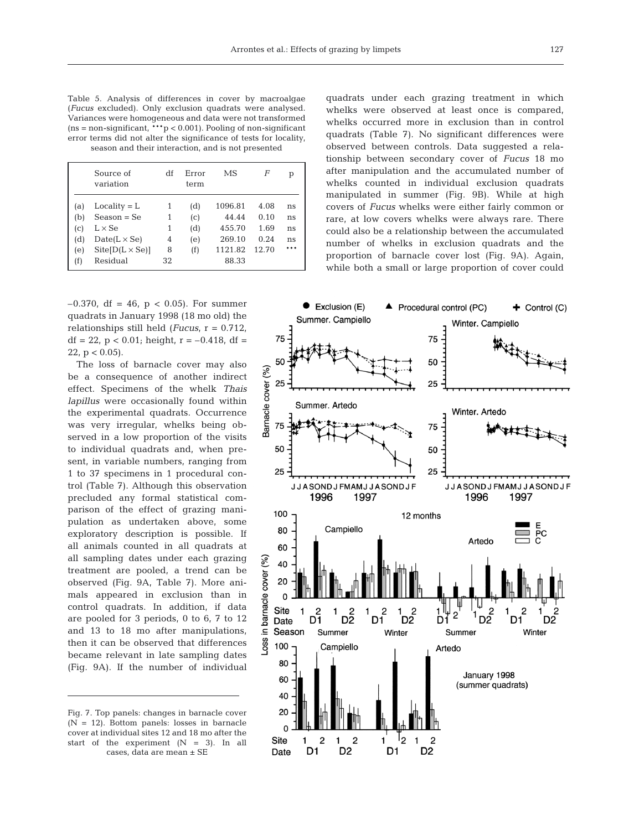Table 5. Analysis of differences in cover by macroalgae (*Fucus* excluded). Only exclusion quadrats were analysed. Variances were homogeneous and data were not transformed  $(ns = non-significant, **p < 0.001)$ . Pooling of non-significant error terms did not alter the significance of tests for locality, season and their interaction, and is not presented

|                            | Source of<br>variation | df | Error<br>term | MS      | F     | р   |
|----------------------------|------------------------|----|---------------|---------|-------|-----|
| (a)                        | $Locality = L$         | 1  | (d)           | 1096.81 | 4.08  | ns  |
| (b)                        | $Season = Se$          | 1  | (c)           | 44.44   | 0.10  | ns  |
| $\left( \mathrm{c}\right)$ | $L \times Se$          | 1  | (d)           | 455.70  | 1.69  | ns  |
| (d)                        | $Date(L \times Se)$    | 4  | (e)           | 269.10  | 0.24  | ns  |
| (e)                        | $Site[D(L \times Se)]$ | 8  | (f)           | 1121.82 | 12.70 | *** |
| (f)                        | Residual               | 32 |               | 88.33   |       |     |

quadrats under each grazing treatment in which whelks were observed at least once is compared, whelks occurred more in exclusion than in control quadrats (Table 7). No significant differences were observed between controls. Data suggested a relationship between secondary cover of *Fucus* 18 mo after manipulation and the accumulated number of whelks counted in individual exclusion quadrats manipulated in summer (Fig. 9B). While at high covers of *Fucus* whelks were either fairly common or rare, at low covers whelks were always rare. There could also be a relationship between the accumulated number of whelks in exclusion quadrats and the proportion of barnacle cover lost (Fig. 9A). Again, while both a small or large proportion of cover could

–0.370, df = 46, p < 0.05). For summer quadrats in January 1998 (18 mo old) the relationships still held (*Fucus*, r = 0.712, df = 22,  $p < 0.01$ ; height,  $r = -0.418$ , df = 22,  $p < 0.05$ ).

The loss of barnacle cover may also be a consequence of another indirect effect. Specimens of the whelk *Thais lapillus* were occasionally found within the experimental quadrats. Occurrence was very irregular, whelks being observed in a low proportion of the visits to individual quadrats and, when present, in variable numbers, ranging from 1 to 37 specimens in 1 procedural control (Table 7). Although this observation precluded any formal statistical comparison of the effect of grazing manipulation as undertaken above, some exploratory description is possible. If all animals counted in all quadrats at all sampling dates under each grazing treatment are pooled, a trend can be observed (Fig. 9A, Table 7). More animals appeared in exclusion than in control quadrats. In addition, if data are pooled for 3 periods, 0 to 6, 7 to 12 and 13 to 18 mo after manipulations, then it can be observed that differences became relevant in late sampling dates (Fig. 9A). If the number of individual

Fig. 7. Top panels: changes in barnacle cover  $(N = 12)$ . Bottom panels: losses in barnacle cover at individual sites 12 and 18 mo after the start of the experiment  $(N = 3)$ . In all cases, data are mean ± SE

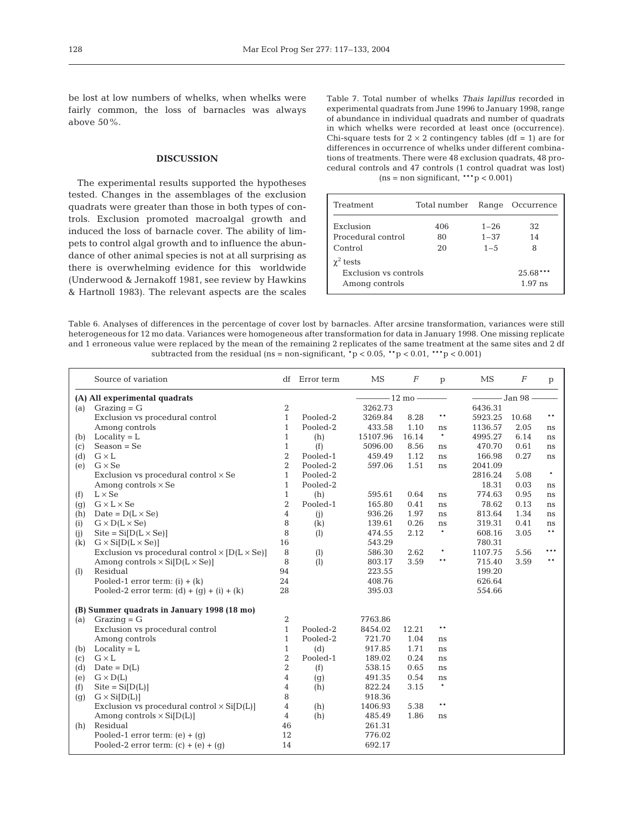be lost at low numbers of whelks, when whelks were fairly common, the loss of barnacles was always above 50%.

## **DISCUSSION**

The experimental results supported the hypotheses tested. Changes in the assemblages of the exclusion quadrats were greater than those in both types of controls. Exclusion promoted macroalgal growth and induced the loss of barnacle cover. The ability of limpets to control algal growth and to influence the abundance of other animal species is not at all surprising as there is overwhelming evidence for this worldwide (Underwood & Jernakoff 1981, see review by Hawkins & Hartnoll 1983). The relevant aspects are the scales Table 7. Total number of whelks *Thais lapillus* recorded in experimental quadrats from June 1996 to January 1998, range of abundance in individual quadrats and number of quadrats in which whelks were recorded at least once (occurrence). Chi-square tests for  $2 \times 2$  contingency tables (df = 1) are for differences in occurrence of whelks under different combinations of treatments. There were 48 exclusion quadrats, 48 procedural controls and 47 controls (1 control quadrat was lost)  $(ns = non significant, **p < 0.001)$ 

| Treatment                                                   | Total number | Range    | Occurrence              |
|-------------------------------------------------------------|--------------|----------|-------------------------|
| Exclusion                                                   | 406          | $1 - 26$ | 32                      |
| Procedural control                                          | 80           | $1 - 37$ | 14                      |
| Control                                                     | 20           | $1 - 5$  | 8                       |
| $\gamma^2$ tests<br>Exclusion vs controls<br>Among controls |              |          | $25.68***$<br>$1.97$ ns |

Table 6. Analyses of differences in the percentage of cover lost by barnacles. After arcsine transformation, variances were still heterogeneous for 12 mo data. Variances were homogeneous after transformation for data in January 1998. One missing replicate and 1 erroneous value were replaced by the mean of the remaining 2 replicates of the same treatment at the same sites and 2 df subtracted from the residual (ns = non-significant,  $p < 0.05$ ,  $\rightarrow p < 0.01$ ,  $\rightarrow p < 0.001$ )

|     | Source of variation                                         |                  | df Error term | MS                 | $\boldsymbol{F}$ | p      | MS                     | $\boldsymbol{F}$ | p      |
|-----|-------------------------------------------------------------|------------------|---------------|--------------------|------------------|--------|------------------------|------------------|--------|
|     | (A) All experimental quadrats                               |                  |               | $-12 \text{ mo} -$ |                  |        | $\frac{1}{2}$ Jan 98 – |                  |        |
| (a) | $Grazinq = G$                                               | 2                |               | 3262.73            |                  |        | 6436.31                |                  |        |
|     | Exclusion vs procedural control                             | $\mathbf{1}$     | Pooled-2      | 3269.84            | 8.28             | $***$  | 5923.25                | 10.68            | $***$  |
|     | Among controls                                              | $\mathbf{1}$     | Pooled-2      | 433.58             | 1.10             | ns     | 1136.57                | 2.05             | ns     |
| (b) | $Locality = L$                                              | $\mathbf{1}$     | (h)           | 15107.96           | 16.14            | $\ast$ | 4995.27                | 6.14             | ns     |
| (c) | $Season = Se$                                               | $\mathbf{1}$     | (f)           | 5096.00            | 8.56             | ns     | 470.70                 | 0.61             | ns     |
| (d) | $G \times L$                                                | $\overline{2}$   | Pooled-1      | 459.49             | 1.12             | ns     | 166.98                 | 0.27             | ns     |
| (e) | $G \times$ Se                                               | $\overline{2}$   | Pooled-2      | 597.06             | 1.51             | ns     | 2041.09                |                  |        |
|     | Exclusion vs procedural control $\times$ Se                 | $\mathbf{1}$     | Pooled-2      |                    |                  |        | 2816.24                | 5.08             | $\ast$ |
|     | Among controls $\times$ Se                                  | $\mathbf{1}$     | Pooled-2      |                    |                  |        | 18.31                  | 0.03             | ns     |
| (f) | $L \times Se$                                               | $\mathbf{1}$     | (h)           | 595.61             | 0.64             | ns     | 774.63                 | 0.95             | ns     |
| (g) | $G \times L \times Se$                                      | $\sqrt{2}$       | Pooled-1      | 165.80             | 0.41             | ns     | 78.62                  | 0.13             | ns     |
| (h) | Date = $D(L \times Se)$                                     | $\overline{4}$   | (i)           | 936.26             | 1.97             | ns     | 813.64                 | 1.34             | ns     |
| (i) | $G \times D(L \times Se)$                                   | 8                | (k)           | 139.61             | 0.26             | ns     | 319.31                 | 0.41             | ns     |
| (i) | $Site = Si[D(L \times Se)]$                                 | 8                | (1)           | 474.55             | 2.12             | $\ast$ | 608.16                 | 3.05             | $***$  |
| (k) | $G \times Si[D(L \times Se)]$                               | 16               |               | 543.29             |                  |        | 780.31                 |                  |        |
|     | Exclusion vs procedural control $\times$ [D(L $\times$ Se)] | 8                | (1)           | 586.30             | 2.62             | $\ast$ | 1107.75                | 5.56             | ***    |
|     | Among controls $\times$ Si[D(L $\times$ Se)]                | 8                | (1)           | 803.17             | 3.59             | $***$  | 715.40                 | 3.59             | $***$  |
| (1) | Residual                                                    | 94               |               | 223.55             |                  |        | 199.20                 |                  |        |
|     | Pooled-1 error term: $(i) + (k)$                            | 24               |               | 408.76             |                  |        | 626.64                 |                  |        |
|     | Pooled-2 error term: $(d) + (q) + (i) + (k)$                | 28               |               | 395.03             |                  |        | 554.66                 |                  |        |
|     | (B) Summer quadrats in January 1998 (18 mo)                 |                  |               |                    |                  |        |                        |                  |        |
| (a) | $Grazing = G$                                               | 2                |               | 7763.86            |                  |        |                        |                  |        |
|     | Exclusion vs procedural control                             | $\mathbf{1}$     | Pooled-2      | 8454.02            | 12.21            | $***$  |                        |                  |        |
|     | Among controls                                              | $\mathbf{1}$     | Pooled-2      | 721.70             | 1.04             | ns     |                        |                  |        |
| (b) | $Locality = L$                                              | $\mathbf{1}$     | (d)           | 917.85             | 1.71             | ns     |                        |                  |        |
| (c) | $G \times L$                                                | $\boldsymbol{2}$ | Pooled-1      | 189.02             | 0.24             | ns     |                        |                  |        |
| (d) | $Date = D(L)$                                               | $\overline{2}$   | (f)           | 538.15             | 0.65             | ns     |                        |                  |        |
| (e) | $G \times D(L)$                                             | $\overline{4}$   | (g)           | 491.35             | 0.54             | ns     |                        |                  |        |
| (f) | $\text{Site} = \text{Si}[D(L)]$                             | 4                | (h)           | 822.24             | 3.15             | $\ast$ |                        |                  |        |
| (g) | $G \times Si[D(L)]$                                         | 8                |               | 918.36             |                  |        |                        |                  |        |
|     | Exclusion vs procedural control $\times$ Si[D(L)]           | 4                | (h)           | 1406.93            | 5.38             | $***$  |                        |                  |        |
|     | Among controls $\times$ Si[D(L)]                            | 4                | (h)           | 485.49             | 1.86             | ns     |                        |                  |        |
| (h) | Residual                                                    | 46               |               | 261.31             |                  |        |                        |                  |        |
|     | Pooled-1 error term: $(e) + (g)$                            | 12               |               | 776.02             |                  |        |                        |                  |        |
|     | Pooled-2 error term: $(c) + (e) + (q)$                      | 14               |               | 692.17             |                  |        |                        |                  |        |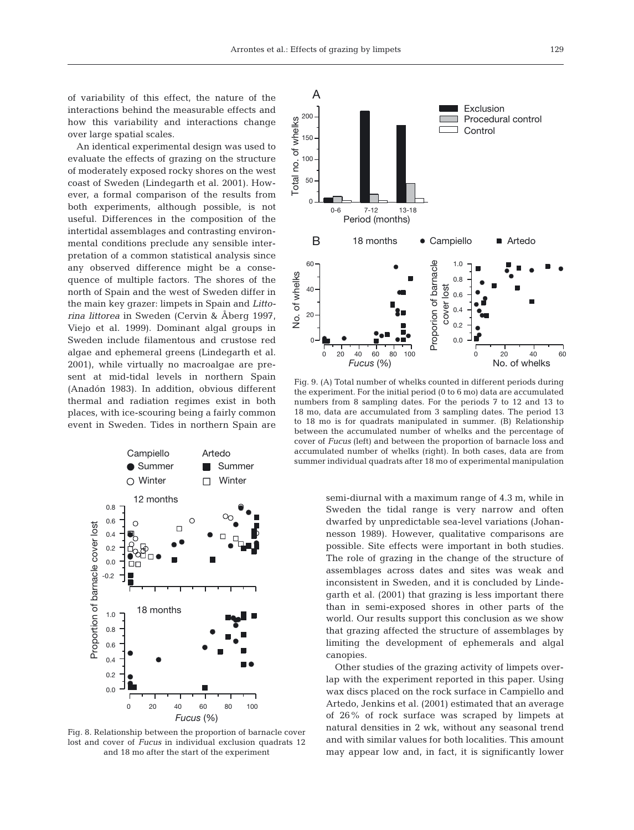An identical experimental design was used to evaluate the effects of grazing on the structure of moderately exposed rocky shores on the west coast of Sweden (Lindegarth et al. 2001). However, a formal comparison of the results from both experiments, although possible, is not useful. Differences in the composition of the intertidal assemblages and contrasting environmental conditions preclude any sensible interpretation of a common statistical analysis since any observed difference might be a consequence of multiple factors. The shores of the north of Spain and the west of Sweden differ in the main key grazer: limpets in Spain and *Littorina littorea* in Sweden (Cervin & Åberg 1997, Viejo et al. 1999). Dominant algal groups in Sweden include filamentous and crustose red algae and ephemeral greens (Lindegarth et al. 2001), while virtually no macroalgae are present at mid-tidal levels in northern Spain (Anadón 1983). In addition, obvious different thermal and radiation regimes exist in both places, with ice-scouring being a fairly common event in Sweden. Tides in northern Spain are



Fig. 8. Relationship between the proportion of barnacle cover lost and cover of *Fucus* in individual exclusion quadrats 12 and 18 mo after the start of the experiment



Fig. 9. (A) Total number of whelks counted in different periods during the experiment. For the initial period (0 to 6 mo) data are accumulated numbers from 8 sampling dates. For the periods 7 to 12 and 13 to 18 mo, data are accumulated from 3 sampling dates. The period 13 to 18 mo is for quadrats manipulated in summer. (B) Relationship between the accumulated number of whelks and the percentage of cover of *Fucus* (left) and between the proportion of barnacle loss and accumulated number of whelks (right). In both cases, data are from summer individual quadrats after 18 mo of experimental manipulation

semi-diurnal with a maximum range of 4.3 m, while in Sweden the tidal range is very narrow and often dwarfed by unpredictable sea-level variations (Johannesson 1989). However, qualitative comparisons are possible. Site effects were important in both studies. The role of grazing in the change of the structure of assemblages across dates and sites was weak and inconsistent in Sweden, and it is concluded by Lindegarth et al. (2001) that grazing is less important there than in semi-exposed shores in other parts of the world. Our results support this conclusion as we show that grazing affected the structure of assemblages by limiting the development of ephemerals and algal canopies.

Other studies of the grazing activity of limpets overlap with the experiment reported in this paper. Using wax discs placed on the rock surface in Campiello and Artedo, Jenkins et al. (2001) estimated that an average of 26% of rock surface was scraped by limpets at natural densities in 2 wk, without any seasonal trend and with similar values for both localities. This amount may appear low and, in fact, it is significantly lower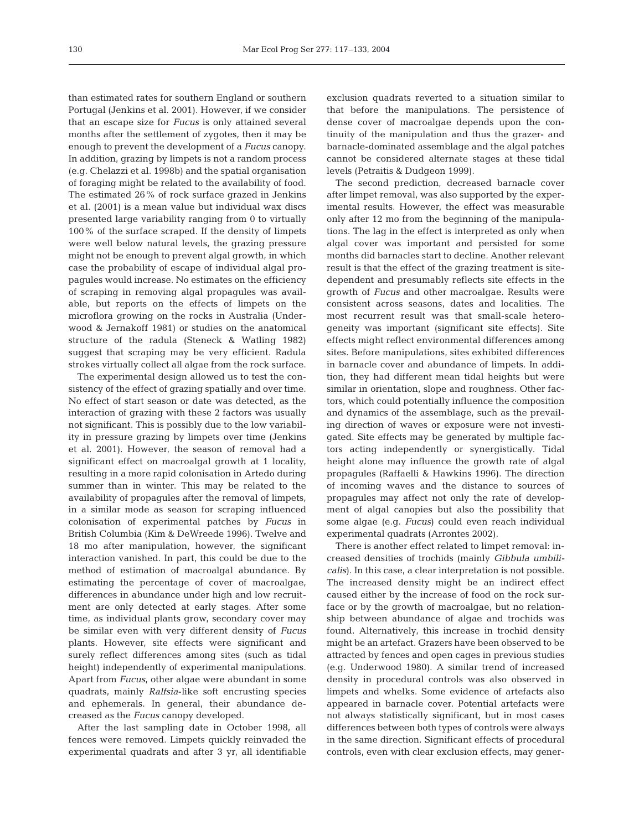than estimated rates for southern England or southern Portugal (Jenkins et al. 2001). However, if we consider that an escape size for *Fucus* is only attained several months after the settlement of zygotes, then it may be enough to prevent the development of a *Fucus* canopy. In addition, grazing by limpets is not a random process (e.g. Chelazzi et al. 1998b) and the spatial organisation of foraging might be related to the availability of food. The estimated 26% of rock surface grazed in Jenkins et al. (2001) is a mean value but individual wax discs presented large variability ranging from 0 to virtually 100% of the surface scraped. If the density of limpets were well below natural levels, the grazing pressure might not be enough to prevent algal growth, in which case the probability of escape of individual algal propagules would increase. No estimates on the efficiency of scraping in removing algal propagules was available, but reports on the effects of limpets on the microflora growing on the rocks in Australia (Underwood & Jernakoff 1981) or studies on the anatomical structure of the radula (Steneck & Watling 1982) suggest that scraping may be very efficient. Radula strokes virtually collect all algae from the rock surface.

The experimental design allowed us to test the consistency of the effect of grazing spatially and over time. No effect of start season or date was detected, as the interaction of grazing with these 2 factors was usually not significant. This is possibly due to the low variability in pressure grazing by limpets over time (Jenkins et al. 2001). However, the season of removal had a significant effect on macroalgal growth at 1 locality, resulting in a more rapid colonisation in Artedo during summer than in winter. This may be related to the availability of propagules after the removal of limpets, in a similar mode as season for scraping influenced colonisation of experimental patches by *Fucus* in British Columbia (Kim & DeWreede 1996). Twelve and 18 mo after manipulation, however, the significant interaction vanished. In part, this could be due to the method of estimation of macroalgal abundance. By estimating the percentage of cover of macroalgae, differences in abundance under high and low recruitment are only detected at early stages. After some time, as individual plants grow, secondary cover may be similar even with very different density of *Fucus* plants. However, site effects were significant and surely reflect differences among sites (such as tidal height) independently of experimental manipulations. Apart from *Fucus*, other algae were abundant in some quadrats, mainly *Ralfsia*-like soft encrusting species and ephemerals. In general, their abundance decreased as the *Fucus* canopy developed.

After the last sampling date in October 1998, all fences were removed. Limpets quickly reinvaded the experimental quadrats and after 3 yr, all identifiable

exclusion quadrats reverted to a situation similar to that before the manipulations. The persistence of dense cover of macroalgae depends upon the continuity of the manipulation and thus the grazer- and barnacle-dominated assemblage and the algal patches cannot be considered alternate stages at these tidal levels (Petraitis & Dudgeon 1999).

The second prediction, decreased barnacle cover after limpet removal, was also supported by the experimental results. However, the effect was measurable only after 12 mo from the beginning of the manipulations. The lag in the effect is interpreted as only when algal cover was important and persisted for some months did barnacles start to decline. Another relevant result is that the effect of the grazing treatment is sitedependent and presumably reflects site effects in the growth of *Fucus* and other macroalgae. Results were consistent across seasons, dates and localities. The most recurrent result was that small-scale heterogeneity was important (significant site effects). Site effects might reflect environmental differences among sites. Before manipulations, sites exhibited differences in barnacle cover and abundance of limpets. In addition, they had different mean tidal heights but were similar in orientation, slope and roughness. Other factors, which could potentially influence the composition and dynamics of the assemblage, such as the prevailing direction of waves or exposure were not investigated. Site effects may be generated by multiple factors acting independently or synergistically. Tidal height alone may influence the growth rate of algal propagules (Raffaelli & Hawkins 1996). The direction of incoming waves and the distance to sources of propagules may affect not only the rate of development of algal canopies but also the possibility that some algae (e.g. *Fucus*) could even reach individual experimental quadrats (Arrontes 2002).

There is another effect related to limpet removal: increased densities of trochids (mainly *Gibbula umbilicalis*). In this case, a clear interpretation is not possible. The increased density might be an indirect effect caused either by the increase of food on the rock surface or by the growth of macroalgae, but no relationship between abundance of algae and trochids was found. Alternatively, this increase in trochid density might be an artefact. Grazers have been observed to be attracted by fences and open cages in previous studies (e.g. Underwood 1980). A similar trend of increased density in procedural controls was also observed in limpets and whelks. Some evidence of artefacts also appeared in barnacle cover. Potential artefacts were not always statistically significant, but in most cases differences between both types of controls were always in the same direction. Significant effects of procedural controls, even with clear exclusion effects, may gener-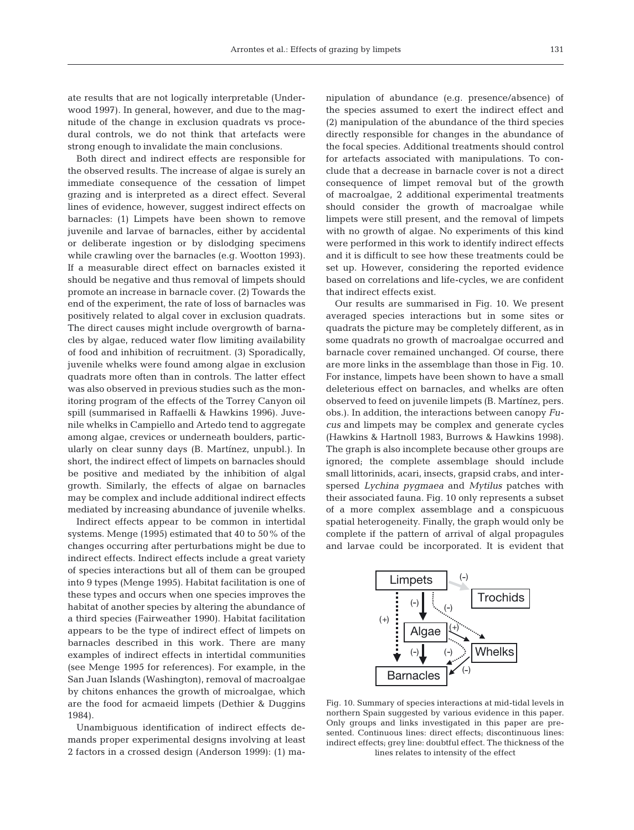ate results that are not logically interpretable (Underwood 1997). In general, however, and due to the magnitude of the change in exclusion quadrats vs procedural controls, we do not think that artefacts were strong enough to invalidate the main conclusions.

Both direct and indirect effects are responsible for the observed results. The increase of algae is surely an immediate consequence of the cessation of limpet grazing and is interpreted as a direct effect. Several lines of evidence, however, suggest indirect effects on barnacles: (1) Limpets have been shown to remove juvenile and larvae of barnacles, either by accidental or deliberate ingestion or by dislodging specimens while crawling over the barnacles (e.g. Wootton 1993). If a measurable direct effect on barnacles existed it should be negative and thus removal of limpets should promote an increase in barnacle cover. (2) Towards the end of the experiment, the rate of loss of barnacles was positively related to algal cover in exclusion quadrats. The direct causes might include overgrowth of barnacles by algae, reduced water flow limiting availability of food and inhibition of recruitment. (3) Sporadically, juvenile whelks were found among algae in exclusion quadrats more often than in controls. The latter effect was also observed in previous studies such as the monitoring program of the effects of the Torrey Canyon oil spill (summarised in Raffaelli & Hawkins 1996). Juvenile whelks in Campiello and Artedo tend to aggregate among algae, crevices or underneath boulders, particularly on clear sunny days (B. Martínez, unpubl.). In short, the indirect effect of limpets on barnacles should be positive and mediated by the inhibition of algal growth. Similarly, the effects of algae on barnacles may be complex and include additional indirect effects mediated by increasing abundance of juvenile whelks.

Indirect effects appear to be common in intertidal systems. Menge (1995) estimated that 40 to 50% of the changes occurring after perturbations might be due to indirect effects. Indirect effects include a great variety of species interactions but all of them can be grouped into 9 types (Menge 1995). Habitat facilitation is one of these types and occurs when one species improves the habitat of another species by altering the abundance of a third species (Fairweather 1990). Habitat facilitation appears to be the type of indirect effect of limpets on barnacles described in this work. There are many examples of indirect effects in intertidal communities (see Menge 1995 for references). For example, in the San Juan Islands (Washington), removal of macroalgae by chitons enhances the growth of microalgae, which are the food for acmaeid limpets (Dethier & Duggins 1984).

Unambiguous identification of indirect effects demands proper experimental designs involving at least 2 factors in a crossed design (Anderson 1999): (1) ma-

nipulation of abundance (e.g. presence/absence) of the species assumed to exert the indirect effect and (2) manipulation of the abundance of the third species directly responsible for changes in the abundance of the focal species. Additional treatments should control for artefacts associated with manipulations. To conclude that a decrease in barnacle cover is not a direct consequence of limpet removal but of the growth of macroalgae, 2 additional experimental treatments should consider the growth of macroalgae while limpets were still present, and the removal of limpets with no growth of algae. No experiments of this kind were performed in this work to identify indirect effects and it is difficult to see how these treatments could be set up. However, considering the reported evidence based on correlations and life-cycles, we are confident that indirect effects exist.

Our results are summarised in Fig. 10. We present averaged species interactions but in some sites or quadrats the picture may be completely different, as in some quadrats no growth of macroalgae occurred and barnacle cover remained unchanged. Of course, there are more links in the assemblage than those in Fig. 10. For instance, limpets have been shown to have a small deleterious effect on barnacles, and whelks are often observed to feed on juvenile limpets (B. Martínez, pers. obs.). In addition, the interactions between canopy *Fucus* and limpets may be complex and generate cycles (Hawkins & Hartnoll 1983, Burrows & Hawkins 1998). The graph is also incomplete because other groups are ignored; the complete assemblage should include small littorinids, acari, insects, grapsid crabs, and interspersed *Lychina pygmaea* and *Mytilus* patches with their associated fauna. Fig. 10 only represents a subset of a more complex assemblage and a conspicuous spatial heterogeneity. Finally, the graph would only be complete if the pattern of arrival of algal propagules and larvae could be incorporated. It is evident that



Fig. 10. Summary of species interactions at mid-tidal levels in northern Spain suggested by various evidence in this paper. Only groups and links investigated in this paper are presented. Continuous lines: direct effects; discontinuous lines: indirect effects; grey line: doubtful effect. The thickness of the lines relates to intensity of the effect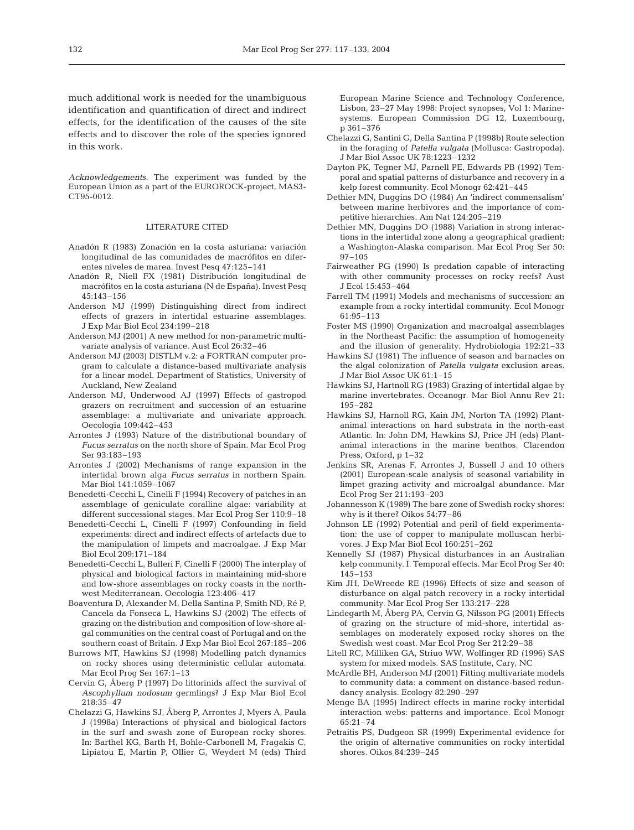much additional work is needed for the unambiguous identification and quantification of direct and indirect effects, for the identification of the causes of the site effects and to discover the role of the species ignored in this work.

*Acknowledgements*. The experiment was funded by the European Union as a part of the EUROROCK-project, MAS3- CT95-0012.

#### LITERATURE CITED

- Anadón R (1983) Zonación en la costa asturiana: variación longitudinal de las comunidades de macrófitos en diferentes niveles de marea. Invest Pesq 47:125–141
- Anadón R, Niell FX (1981) Distribución longitudinal de macrófitos en la costa asturiana (N de España). Invest Pesq 45:143–156
- Anderson MJ (1999) Distinguishing direct from indirect effects of grazers in intertidal estuarine assemblages. J Exp Mar Biol Ecol 234:199–218
- Anderson MJ (2001) A new method for non-parametric multivariate analysis of variance. Aust Ecol 26:32–46
- Anderson MJ (2003) DISTLM v.2: a FORTRAN computer program to calculate a distance-based multivariate analysis for a linear model. Department of Statistics, University of Auckland, New Zealand
- Anderson MJ, Underwood AJ (1997) Effects of gastropod grazers on recruitment and succession of an estuarine assemblage: a multivariate and univariate approach. Oecologia 109:442–453
- Arrontes J (1993) Nature of the distributional boundary of *Fucus serratus* on the north shore of Spain. Mar Ecol Prog Ser 93:183–193
- Arrontes J (2002) Mechanisms of range expansion in the intertidal brown alga *Fucus serratus* in northern Spain. Mar Biol 141:1059–1067
- Benedetti-Cecchi L, Cinelli F (1994) Recovery of patches in an assemblage of geniculate coralline algae: variability at different successional stages. Mar Ecol Prog Ser 110:9–18
- Benedetti-Cecchi L, Cinelli F (1997) Confounding in field experiments: direct and indirect effects of artefacts due to the manipulation of limpets and macroalgae. J Exp Mar Biol Ecol 209:171–184
- Benedetti-Cecchi L, Bulleri F, Cinelli F (2000) The interplay of physical and biological factors in maintaining mid-shore and low-shore assemblages on rocky coasts in the northwest Mediterranean. Oecologia 123:406–417
- Boaventura D, Alexander M, Della Santina P, Smith ND, Ré P, Cancela da Fonseca L, Hawkins SJ (2002) The effects of grazing on the distribution and composition of low-shore algal communities on the central coast of Portugal and on the southern coast of Britain. J Exp Mar Biol Ecol 267:185–206
- Burrows MT, Hawkins SJ (1998) Modelling patch dynamics on rocky shores using deterministic cellular automata. Mar Ecol Prog Ser 167:1–13
- Cervin G, Åberg P (1997) Do littorinids affect the survival of *Ascophyllum nodosum* germlings? J Exp Mar Biol Ecol 218:35–47
- Chelazzi G, Hawkins SJ, Åberg P, Arrontes J, Myers A, Paula J (1998a) Interactions of physical and biological factors in the surf and swash zone of European rocky shores. In: Barthel KG, Barth H, Bohle-Carbonell M, Fragakis C, Lipiatou E, Martin P, Ollier G, Weydert M (eds) Third

European Marine Science and Technology Conference, Lisbon, 23–27 May 1998: Project synopses, Vol 1: Marinesystems. European Commission DG 12, Luxembourg, p 361–376

- Chelazzi G, Santini G, Della Santina P (1998b) Route selection in the foraging of *Patella vulgata* (Mollusca: Gastropoda). J Mar Biol Assoc UK 78:1223–1232
- Dayton PK, Tegner MJ, Parnell PE, Edwards PB (1992) Temporal and spatial patterns of disturbance and recovery in a kelp forest community. Ecol Monogr 62:421–445
- Dethier MN, Duggins DO (1984) An 'indirect commensalism' between marine herbivores and the importance of competitive hierarchies. Am Nat 124:205–219
- Dethier MN, Duggins DO (1988) Variation in strong interactions in the intertidal zone along a geographical gradient: a Washington-Alaska comparison. Mar Ecol Prog Ser 50: 97–105
- Fairweather PG (1990) Is predation capable of interacting with other community processes on rocky reefs? Aust J Ecol 15:453–464
- Farrell TM (1991) Models and mechanisms of succession: an example from a rocky intertidal community. Ecol Monogr 61:95–113
- Foster MS (1990) Organization and macroalgal assemblages in the Northeast Pacific: the assumption of homogeneity and the illusion of generality. Hydrobiologia 192:21–33
- Hawkins SJ (1981) The influence of season and barnacles on the algal colonization of *Patella vulgata* exclusion areas. J Mar Biol Assoc UK 61:1–15
- Hawkins SJ, Hartnoll RG (1983) Grazing of intertidal algae by marine invertebrates. Oceanogr. Mar Biol Annu Rev 21: 195–282
- Hawkins SJ, Harnoll RG, Kain JM, Norton TA (1992) Plantanimal interactions on hard substrata in the north-east Atlantic. In: John DM, Hawkins SJ, Price JH (eds) Plantanimal interactions in the marine benthos. Clarendon Press, Oxford, p 1–32
- Jenkins SR, Arenas F, Arrontes J, Bussell J and 10 others (2001) European-scale analysis of seasonal variability in limpet grazing activity and microalgal abundance. Mar Ecol Prog Ser 211:193–203
- Johannesson K (1989) The bare zone of Swedish rocky shores: why is it there? Oikos 54:77–86
- Johnson LE (1992) Potential and peril of field experimentation: the use of copper to manipulate molluscan herbivores. J Exp Mar Biol Ecol 160:251–262
- Kennelly SJ (1987) Physical disturbances in an Australian kelp community. I. Temporal effects. Mar Ecol Prog Ser 40: 145–153
- Kim JH, DeWreede RE (1996) Effects of size and season of disturbance on algal patch recovery in a rocky intertidal community. Mar Ecol Prog Ser 133:217–228
- Lindegarth M, Åberg PA, Cervin G, Nilsson PG (2001) Effects of grazing on the structure of mid-shore, intertidal assemblages on moderately exposed rocky shores on the Swedish west coast. Mar Ecol Prog Ser 212:29–38
- Litell RC, Milliken GA, Striuo WW, Wolfinger RD (1996) SAS system for mixed models. SAS Institute, Cary, NC
- McArdle BH, Anderson MJ (2001) Fitting multivariate models to community data: a comment on distance-based redundancy analysis. Ecology 82:290–297
- Menge BA (1995) Indirect effects in marine rocky intertidal interaction webs: patterns and importance. Ecol Monogr 65:21–74
- Petraitis PS, Dudgeon SR (1999) Experimental evidence for the origin of alternative communities on rocky intertidal shores. Oikos 84:239–245